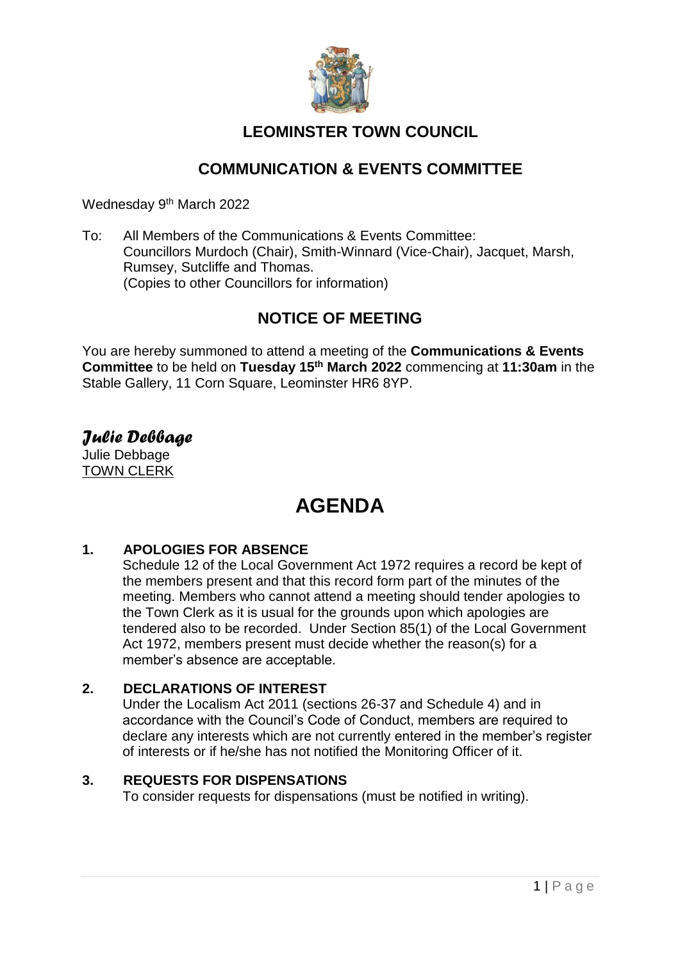

### **LEOMINSTER TOWN COUNCIL**

### **COMMUNICATION & EVENTS COMMITTEE**

Wednesday 9<sup>th</sup> March 2022

To: All Members of the Communications & Events Committee: Councillors Murdoch (Chair), Smith-Winnard (Vice-Chair), Jacquet, Marsh, Rumsey, Sutcliffe and Thomas. (Copies to other Councillors for information)

### **NOTICE OF MEETING**

You are hereby summoned to attend a meeting of the **Communications & Events Committee** to be held on **Tuesday 15th March 2022** commencing at **11:30am** in the Stable Gallery, 11 Corn Square, Leominster HR6 8YP.

*Julie Debbage* Julie Debbage TOWN CLERK

## **AGENDA**

### **1. APOLOGIES FOR ABSENCE**

Schedule 12 of the Local Government Act 1972 requires a record be kept of the members present and that this record form part of the minutes of the meeting. Members who cannot attend a meeting should tender apologies to the Town Clerk as it is usual for the grounds upon which apologies are tendered also to be recorded. Under Section 85(1) of the Local Government Act 1972, members present must decide whether the reason(s) for a member's absence are acceptable.

### **2. DECLARATIONS OF INTEREST**

Under the Localism Act 2011 (sections 26-37 and Schedule 4) and in accordance with the Council's Code of Conduct, members are required to declare any interests which are not currently entered in the member's register of interests or if he/she has not notified the Monitoring Officer of it.

### **3. REQUESTS FOR DISPENSATIONS**

To consider requests for dispensations (must be notified in writing).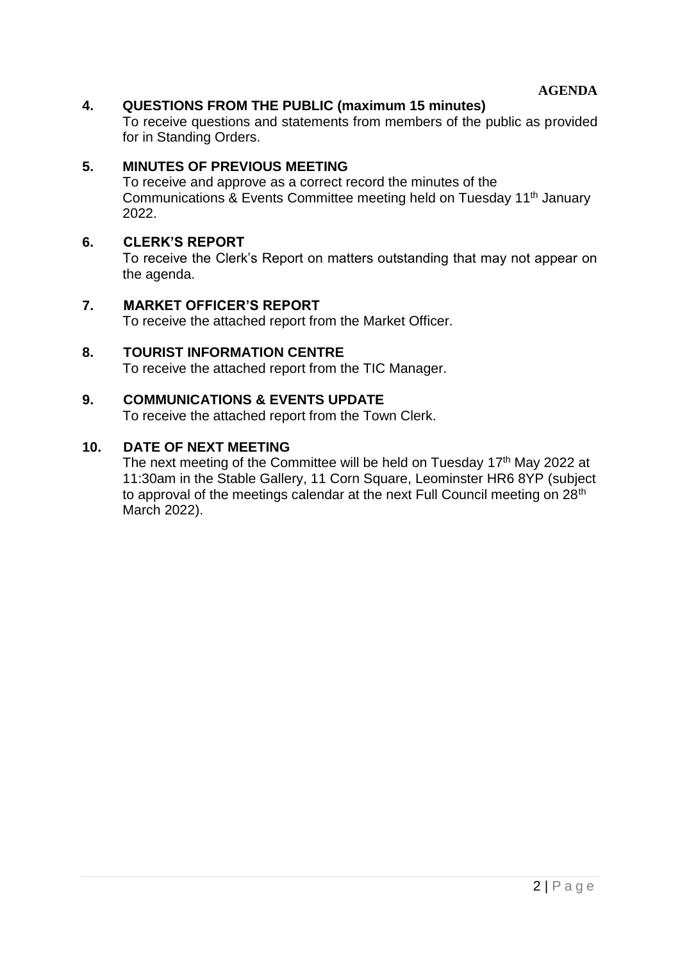**AGENDA**

### **4. QUESTIONS FROM THE PUBLIC (maximum 15 minutes)**

To receive questions and statements from members of the public as provided for in Standing Orders.

### **5. MINUTES OF PREVIOUS MEETING**

To receive and approve as a correct record the minutes of the Communications & Events Committee meeting held on Tuesday 11th January 2022.

#### **6. CLERK'S REPORT**

To receive the Clerk's Report on matters outstanding that may not appear on the agenda.

#### **7. MARKET OFFICER'S REPORT**

To receive the attached report from the Market Officer.

**8. TOURIST INFORMATION CENTRE** To receive the attached report from the TIC Manager.

#### **9. COMMUNICATIONS & EVENTS UPDATE**

To receive the attached report from the Town Clerk.

### **10. DATE OF NEXT MEETING**

The next meeting of the Committee will be held on Tuesday 17<sup>th</sup> May 2022 at 11:30am in the Stable Gallery, 11 Corn Square, Leominster HR6 8YP (subject to approval of the meetings calendar at the next Full Council meeting on 28<sup>th</sup> March 2022).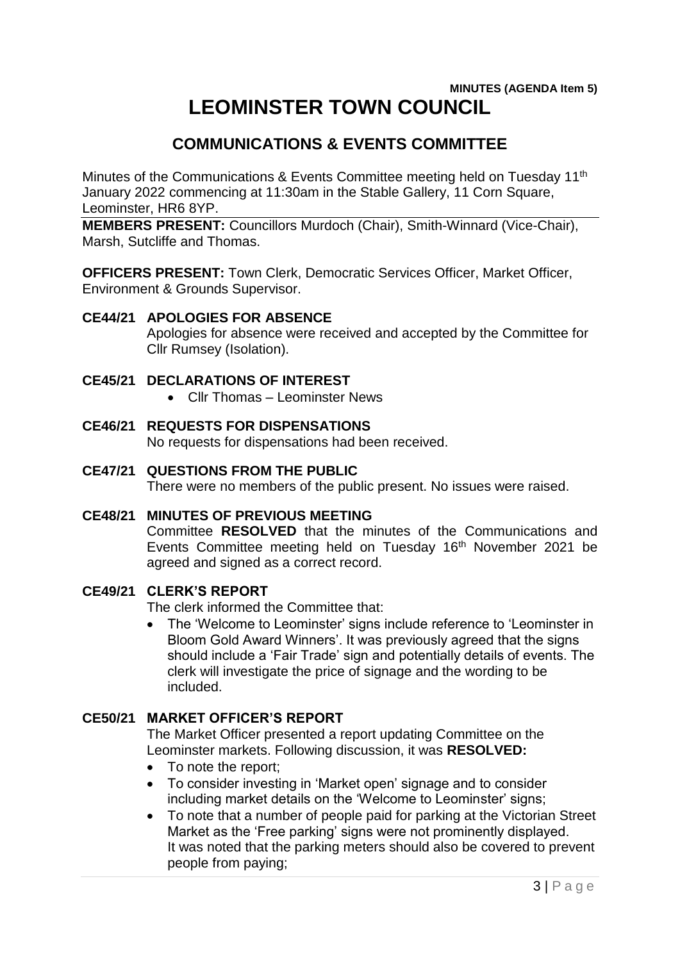### **MINUTES (AGENDA Item 5) LEOMINSTER TOWN COUNCIL**

### **COMMUNICATIONS & EVENTS COMMITTEE**

Minutes of the Communications & Events Committee meeting held on Tuesday 11th January 2022 commencing at 11:30am in the Stable Gallery, 11 Corn Square, Leominster, HR6 8YP.

**MEMBERS PRESENT:** Councillors Murdoch (Chair), Smith-Winnard (Vice-Chair), Marsh, Sutcliffe and Thomas.

**OFFICERS PRESENT:** Town Clerk, Democratic Services Officer, Market Officer, Environment & Grounds Supervisor.

### **CE44/21 APOLOGIES FOR ABSENCE**

Apologies for absence were received and accepted by the Committee for Cllr Rumsey (Isolation).

### **CE45/21 DECLARATIONS OF INTEREST**

- Cllr Thomas Leominster News
- **CE46/21 REQUESTS FOR DISPENSATIONS**

No requests for dispensations had been received.

**CE47/21 QUESTIONS FROM THE PUBLIC**

There were no members of the public present. No issues were raised.

### **CE48/21 MINUTES OF PREVIOUS MEETING**

Committee **RESOLVED** that the minutes of the Communications and Events Committee meeting held on Tuesday 16<sup>th</sup> November 2021 be agreed and signed as a correct record.

### **CE49/21 CLERK'S REPORT**

The clerk informed the Committee that:

 The 'Welcome to Leominster' signs include reference to 'Leominster in Bloom Gold Award Winners'. It was previously agreed that the signs should include a 'Fair Trade' sign and potentially details of events. The clerk will investigate the price of signage and the wording to be included.

### **CE50/21 MARKET OFFICER'S REPORT**

The Market Officer presented a report updating Committee on the Leominster markets. Following discussion, it was **RESOLVED:**

- To note the report;
- To consider investing in 'Market open' signage and to consider including market details on the 'Welcome to Leominster' signs;
- To note that a number of people paid for parking at the Victorian Street Market as the 'Free parking' signs were not prominently displayed. It was noted that the parking meters should also be covered to prevent people from paying;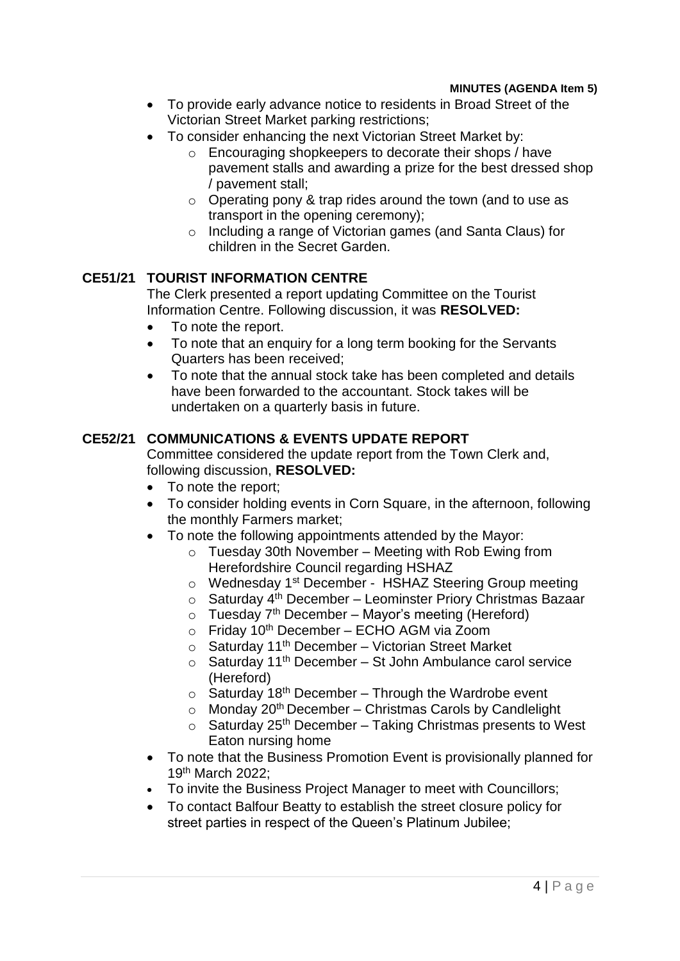- To provide early advance notice to residents in Broad Street of the Victorian Street Market parking restrictions;
- To consider enhancing the next Victorian Street Market by:
	- o Encouraging shopkeepers to decorate their shops / have pavement stalls and awarding a prize for the best dressed shop / pavement stall;
	- o Operating pony & trap rides around the town (and to use as transport in the opening ceremony);
	- o Including a range of Victorian games (and Santa Claus) for children in the Secret Garden.

### **CE51/21 TOURIST INFORMATION CENTRE**

The Clerk presented a report updating Committee on the Tourist Information Centre. Following discussion, it was **RESOLVED:**

- To note the report.
- To note that an enquiry for a long term booking for the Servants Quarters has been received;
- To note that the annual stock take has been completed and details have been forwarded to the accountant. Stock takes will be undertaken on a quarterly basis in future.

### **CE52/21 COMMUNICATIONS & EVENTS UPDATE REPORT**

Committee considered the update report from the Town Clerk and, following discussion, **RESOLVED:**

- To note the report;
- To consider holding events in Corn Square, in the afternoon, following the monthly Farmers market;
- To note the following appointments attended by the Mayor:
	- $\circ$  Tuesday 30th November Meeting with Rob Ewing from Herefordshire Council regarding HSHAZ
	- o Wednesday 1st December HSHAZ Steering Group meeting
	- $\circ$  Saturday 4<sup>th</sup> December Leominster Priory Christmas Bazaar
	- $\circ$  Tuesday 7<sup>th</sup> December Mayor's meeting (Hereford)
	- $\circ$  Friday 10<sup>th</sup> December ECHO AGM via Zoom
	- $\circ$  Saturday 11<sup>th</sup> December Victorian Street Market
	- $\circ$  Saturday 11<sup>th</sup> December St John Ambulance carol service (Hereford)
	- $\circ$  Saturday 18<sup>th</sup> December Through the Wardrobe event
	- $\circ$  Monday 20<sup>th</sup> December Christmas Carols by Candlelight
	- $\circ$  Saturday 25<sup>th</sup> December Taking Christmas presents to West Eaton nursing home
- To note that the Business Promotion Event is provisionally planned for 19th March 2022;
- To invite the Business Project Manager to meet with Councillors;
- To contact Balfour Beatty to establish the street closure policy for street parties in respect of the Queen's Platinum Jubilee;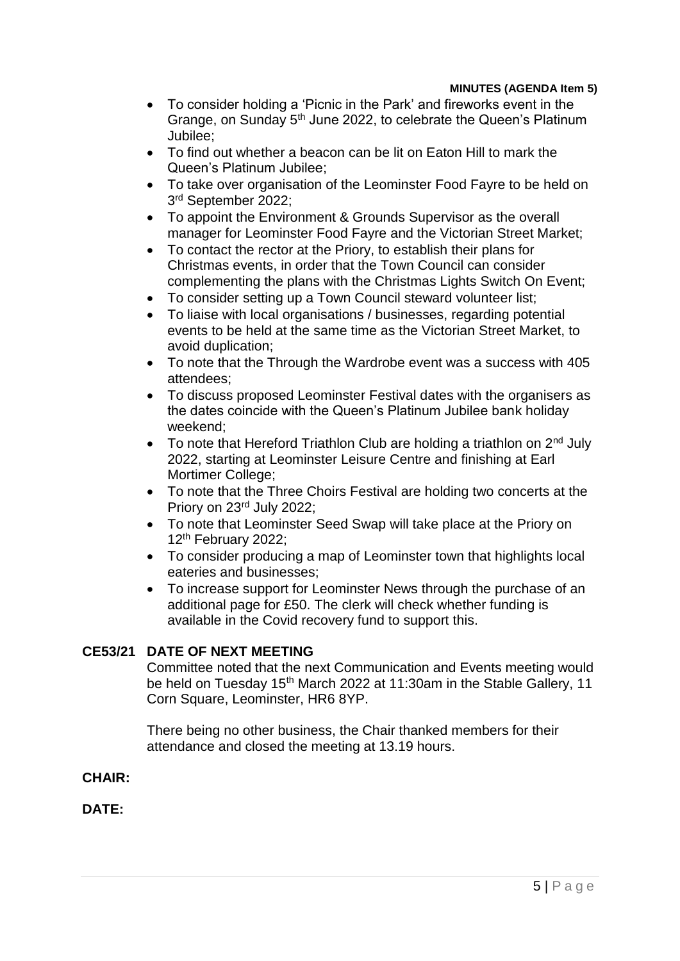#### **MINUTES (AGENDA Item 5)**

- To consider holding a 'Picnic in the Park' and fireworks event in the Grange, on Sunday 5<sup>th</sup> June 2022, to celebrate the Queen's Platinum Jubilee;
- To find out whether a beacon can be lit on Eaton Hill to mark the Queen's Platinum Jubilee;
- To take over organisation of the Leominster Food Fayre to be held on 3<sup>rd</sup> September 2022;
- To appoint the Environment & Grounds Supervisor as the overall manager for Leominster Food Fayre and the Victorian Street Market;
- To contact the rector at the Priory, to establish their plans for Christmas events, in order that the Town Council can consider complementing the plans with the Christmas Lights Switch On Event;
- To consider setting up a Town Council steward volunteer list;
- To liaise with local organisations / businesses, regarding potential events to be held at the same time as the Victorian Street Market, to avoid duplication;
- To note that the Through the Wardrobe event was a success with 405 attendees;
- To discuss proposed Leominster Festival dates with the organisers as the dates coincide with the Queen's Platinum Jubilee bank holiday weekend;
- To note that Hereford Triathlon Club are holding a triathlon on  $2^{nd}$  July 2022, starting at Leominster Leisure Centre and finishing at Earl Mortimer College;
- To note that the Three Choirs Festival are holding two concerts at the Priory on 23rd July 2022;
- To note that Leominster Seed Swap will take place at the Priory on 12<sup>th</sup> February 2022;
- To consider producing a map of Leominster town that highlights local eateries and businesses;
- To increase support for Leominster News through the purchase of an additional page for £50. The clerk will check whether funding is available in the Covid recovery fund to support this.

### **CE53/21 DATE OF NEXT MEETING**

Committee noted that the next Communication and Events meeting would be held on Tuesday 15<sup>th</sup> March 2022 at 11:30am in the Stable Gallery, 11 Corn Square, Leominster, HR6 8YP.

There being no other business, the Chair thanked members for their attendance and closed the meeting at 13.19 hours.

### **CHAIR:**

### **DATE:**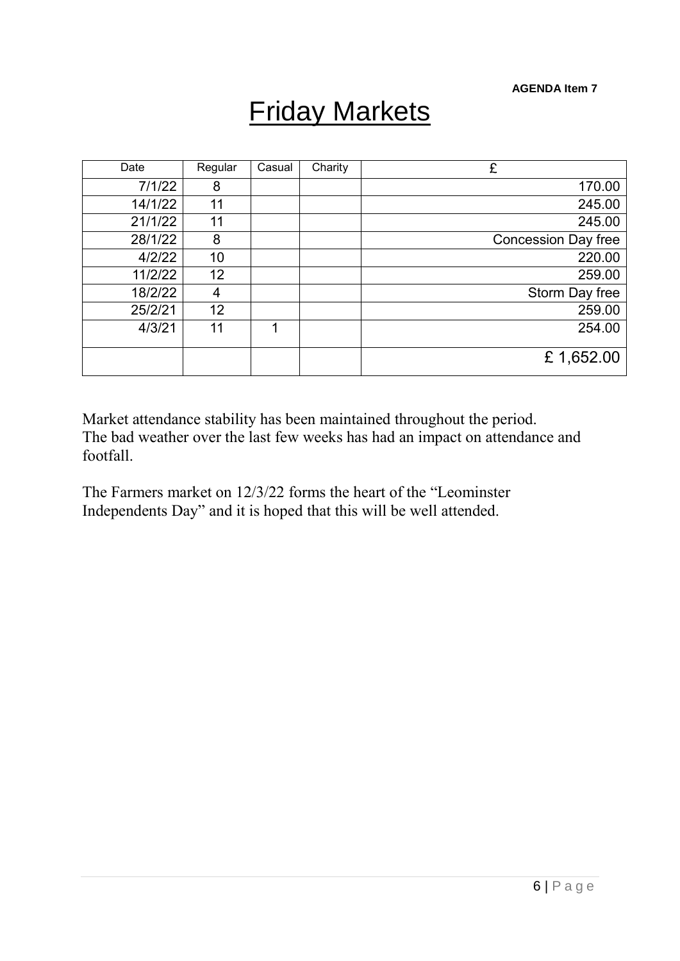**AGENDA Item 7**

# Friday Markets

| Date    | Regular | Casual | Charity | £                          |
|---------|---------|--------|---------|----------------------------|
| 7/1/22  | 8       |        |         | 170.00                     |
| 14/1/22 | 11      |        |         | 245.00                     |
| 21/1/22 | 11      |        |         | 245.00                     |
| 28/1/22 | 8       |        |         | <b>Concession Day free</b> |
| 4/2/22  | 10      |        |         | 220.00                     |
| 11/2/22 | 12      |        |         | 259.00                     |
| 18/2/22 | 4       |        |         | Storm Day free             |
| 25/2/21 | 12      |        |         | 259.00                     |
| 4/3/21  | 11      | 1      |         | 254.00                     |
|         |         |        |         |                            |
|         |         |        |         | £1,652.00                  |

Market attendance stability has been maintained throughout the period. The bad weather over the last few weeks has had an impact on attendance and footfall.

The Farmers market on 12/3/22 forms the heart of the "Leominster Independents Day" and it is hoped that this will be well attended.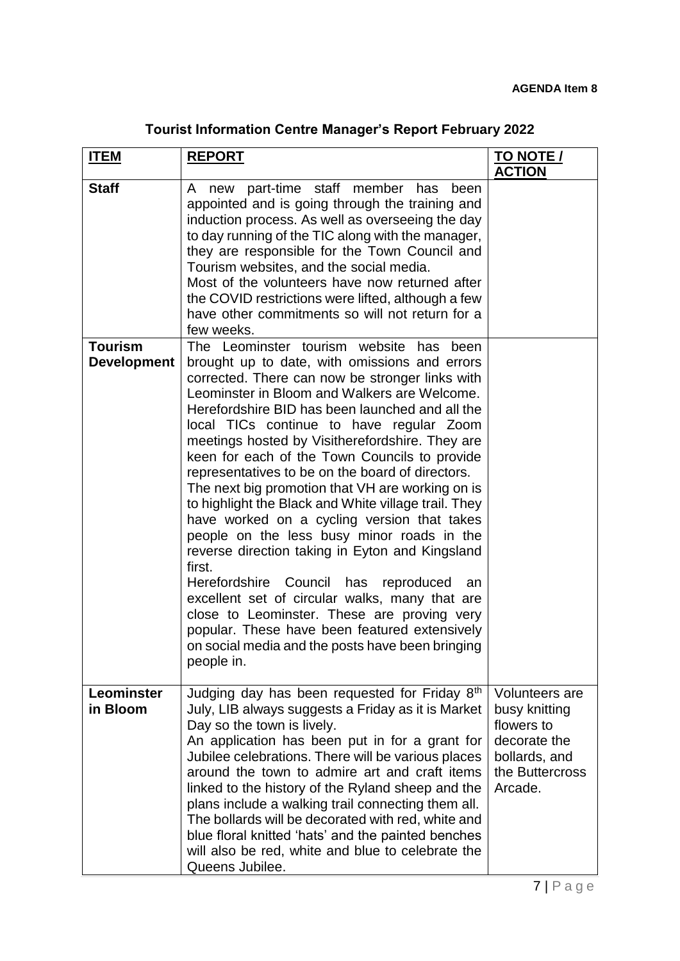|  |  | <b>Tourist Information Centre Manager's Report February 2022</b> |
|--|--|------------------------------------------------------------------|
|--|--|------------------------------------------------------------------|

| <u>ITEM</u>                          | <b>REPORT</b>                                                                                                                                                                                                                                                                                                                                                                                                                                                                                                                                                                                                                                                                                                                                                                                                                                                                                                                                                                                       | <b>TO NOTE /</b><br><b>ACTION</b>                                                                                   |
|--------------------------------------|-----------------------------------------------------------------------------------------------------------------------------------------------------------------------------------------------------------------------------------------------------------------------------------------------------------------------------------------------------------------------------------------------------------------------------------------------------------------------------------------------------------------------------------------------------------------------------------------------------------------------------------------------------------------------------------------------------------------------------------------------------------------------------------------------------------------------------------------------------------------------------------------------------------------------------------------------------------------------------------------------------|---------------------------------------------------------------------------------------------------------------------|
| <b>Staff</b>                         | new part-time staff member has<br>A<br>been<br>appointed and is going through the training and<br>induction process. As well as overseeing the day<br>to day running of the TIC along with the manager,<br>they are responsible for the Town Council and<br>Tourism websites, and the social media.<br>Most of the volunteers have now returned after<br>the COVID restrictions were lifted, although a few<br>have other commitments so will not return for a<br>few weeks.                                                                                                                                                                                                                                                                                                                                                                                                                                                                                                                        |                                                                                                                     |
| <b>Tourism</b><br><b>Development</b> | The Leominster tourism website has been<br>brought up to date, with omissions and errors<br>corrected. There can now be stronger links with<br>Leominster in Bloom and Walkers are Welcome.<br>Herefordshire BID has been launched and all the<br>local TICs continue to have regular Zoom<br>meetings hosted by Visitherefordshire. They are<br>keen for each of the Town Councils to provide<br>representatives to be on the board of directors.<br>The next big promotion that VH are working on is<br>to highlight the Black and White village trail. They<br>have worked on a cycling version that takes<br>people on the less busy minor roads in the<br>reverse direction taking in Eyton and Kingsland<br>first.<br>Herefordshire<br>Council<br>has<br>reproduced<br>an<br>excellent set of circular walks, many that are<br>close to Leominster. These are proving very<br>popular. These have been featured extensively<br>on social media and the posts have been bringing<br>people in. |                                                                                                                     |
| Leominster<br>in Bloom               | Judging day has been requested for Friday 8th<br>July, LIB always suggests a Friday as it is Market<br>Day so the town is lively.<br>An application has been put in for a grant for<br>Jubilee celebrations. There will be various places<br>around the town to admire art and craft items<br>linked to the history of the Ryland sheep and the<br>plans include a walking trail connecting them all.<br>The bollards will be decorated with red, white and<br>blue floral knitted 'hats' and the painted benches<br>will also be red, white and blue to celebrate the<br>Queens Jubilee.                                                                                                                                                                                                                                                                                                                                                                                                           | <b>Volunteers are</b><br>busy knitting<br>flowers to<br>decorate the<br>bollards, and<br>the Buttercross<br>Arcade. |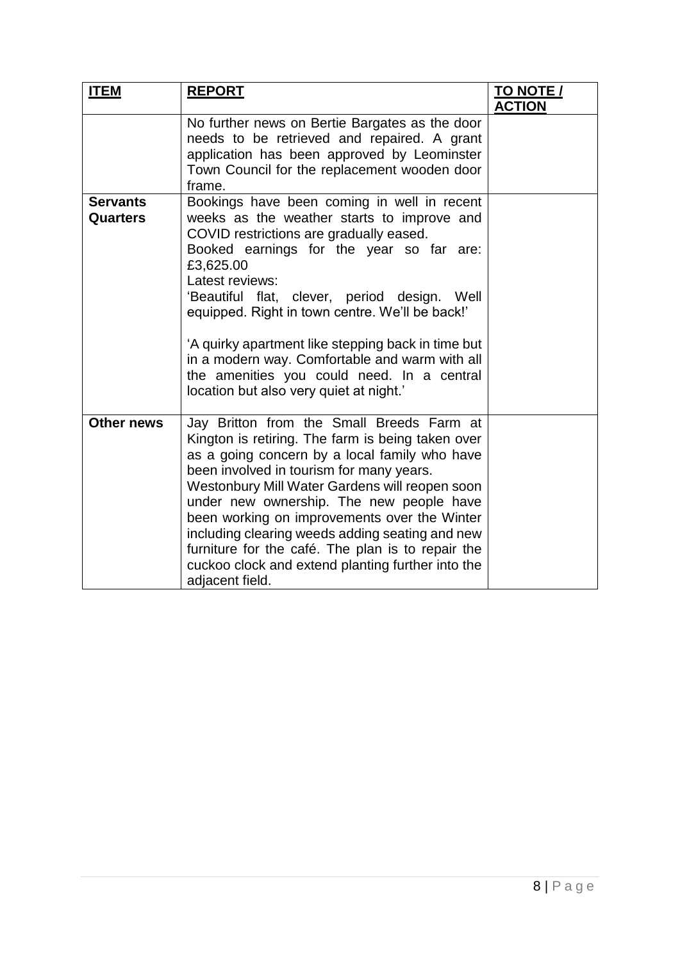| <b>ITEM</b>                 | <b>REPORT</b>                                                                                                                                                                                                                                                                                                                                                                                                                                                                                                             | <b>TO NOTE /</b> |
|-----------------------------|---------------------------------------------------------------------------------------------------------------------------------------------------------------------------------------------------------------------------------------------------------------------------------------------------------------------------------------------------------------------------------------------------------------------------------------------------------------------------------------------------------------------------|------------------|
|                             |                                                                                                                                                                                                                                                                                                                                                                                                                                                                                                                           | <b>ACTION</b>    |
|                             | No further news on Bertie Bargates as the door<br>needs to be retrieved and repaired. A grant<br>application has been approved by Leominster<br>Town Council for the replacement wooden door<br>frame.                                                                                                                                                                                                                                                                                                                    |                  |
| <b>Servants</b><br>Quarters | Bookings have been coming in well in recent<br>weeks as the weather starts to improve and<br>COVID restrictions are gradually eased.<br>Booked earnings for the year so far are:<br>£3,625.00<br>Latest reviews:<br>'Beautiful flat, clever, period design. Well<br>equipped. Right in town centre. We'll be back!'<br>'A quirky apartment like stepping back in time but<br>in a modern way. Comfortable and warm with all<br>the amenities you could need. In a central<br>location but also very quiet at night.'      |                  |
| <b>Other news</b>           | Jay Britton from the Small Breeds Farm at<br>Kington is retiring. The farm is being taken over<br>as a going concern by a local family who have<br>been involved in tourism for many years.<br>Westonbury Mill Water Gardens will reopen soon<br>under new ownership. The new people have<br>been working on improvements over the Winter<br>including clearing weeds adding seating and new<br>furniture for the café. The plan is to repair the<br>cuckoo clock and extend planting further into the<br>adjacent field. |                  |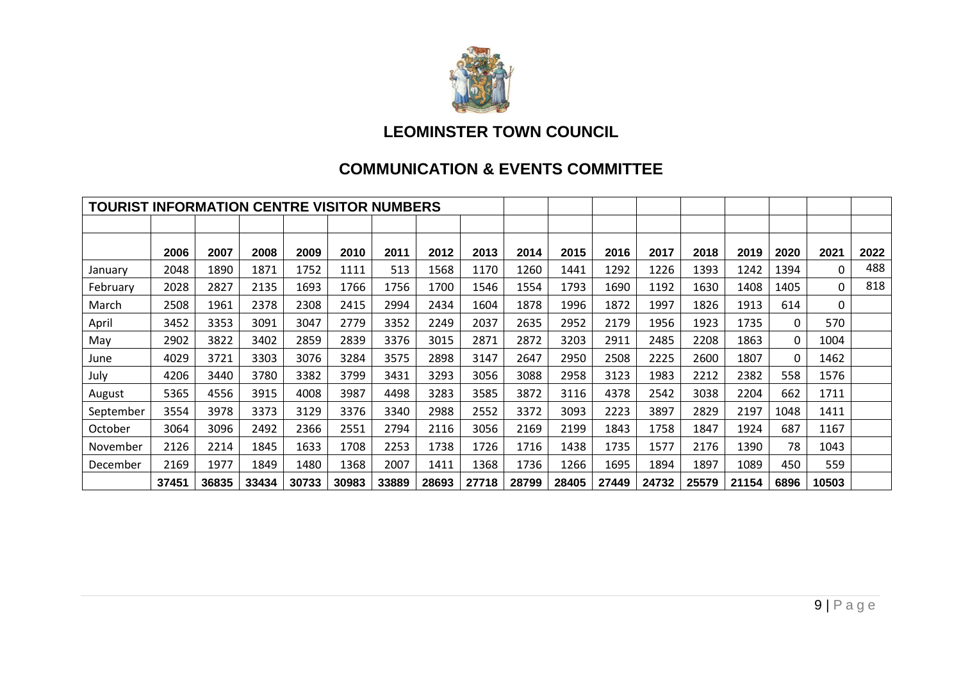

### **LEOMINSTER TOWN COUNCIL**

### **COMMUNICATION & EVENTS COMMITTEE**

| <b>TOURIST INFORMATION CENTRE VISITOR NUMBERS</b> |       |       |       |       |       |       |       |       |       |       |       |       |       |       |      |          |      |
|---------------------------------------------------|-------|-------|-------|-------|-------|-------|-------|-------|-------|-------|-------|-------|-------|-------|------|----------|------|
|                                                   |       |       |       |       |       |       |       |       |       |       |       |       |       |       |      |          |      |
|                                                   | 2006  | 2007  | 2008  | 2009  | 2010  | 2011  | 2012  | 2013  | 2014  | 2015  | 2016  | 2017  | 2018  | 2019  | 2020 | 2021     | 2022 |
| January                                           | 2048  | 1890  | 1871  | 1752  | 1111  | 513   | 1568  | 1170  | 1260  | 1441  | 1292  | 1226  | 1393  | 1242  | 1394 | $\Omega$ | 488  |
| February                                          | 2028  | 2827  | 2135  | 1693  | 1766  | 1756  | 1700  | 1546  | 1554  | 1793  | 1690  | 1192  | 1630  | 1408  | 1405 | 0        | 818  |
| March                                             | 2508  | 1961  | 2378  | 2308  | 2415  | 2994  | 2434  | 1604  | 1878  | 1996  | 1872  | 1997  | 1826  | 1913  | 614  | 0        |      |
| April                                             | 3452  | 3353  | 3091  | 3047  | 2779  | 3352  | 2249  | 2037  | 2635  | 2952  | 2179  | 1956  | 1923  | 1735  | 0    | 570      |      |
| May                                               | 2902  | 3822  | 3402  | 2859  | 2839  | 3376  | 3015  | 2871  | 2872  | 3203  | 2911  | 2485  | 2208  | 1863  | 0    | 1004     |      |
| June                                              | 4029  | 3721  | 3303  | 3076  | 3284  | 3575  | 2898  | 3147  | 2647  | 2950  | 2508  | 2225  | 2600  | 1807  | 0    | 1462     |      |
| July                                              | 4206  | 3440  | 3780  | 3382  | 3799  | 3431  | 3293  | 3056  | 3088  | 2958  | 3123  | 1983  | 2212  | 2382  | 558  | 1576     |      |
| August                                            | 5365  | 4556  | 3915  | 4008  | 3987  | 4498  | 3283  | 3585  | 3872  | 3116  | 4378  | 2542  | 3038  | 2204  | 662  | 1711     |      |
| September                                         | 3554  | 3978  | 3373  | 3129  | 3376  | 3340  | 2988  | 2552  | 3372  | 3093  | 2223  | 3897  | 2829  | 2197  | 1048 | 1411     |      |
| October                                           | 3064  | 3096  | 2492  | 2366  | 2551  | 2794  | 2116  | 3056  | 2169  | 2199  | 1843  | 1758  | 1847  | 1924  | 687  | 1167     |      |
| November                                          | 2126  | 2214  | 1845  | 1633  | 1708  | 2253  | 1738  | 1726  | 1716  | 1438  | 1735  | 1577  | 2176  | 1390  | 78   | 1043     |      |
| December                                          | 2169  | 1977  | 1849  | 1480  | 1368  | 2007  | 1411  | 1368  | 1736  | 1266  | 1695  | 1894  | 1897  | 1089  | 450  | 559      |      |
|                                                   | 37451 | 36835 | 33434 | 30733 | 30983 | 33889 | 28693 | 27718 | 28799 | 28405 | 27449 | 24732 | 25579 | 21154 | 6896 | 10503    |      |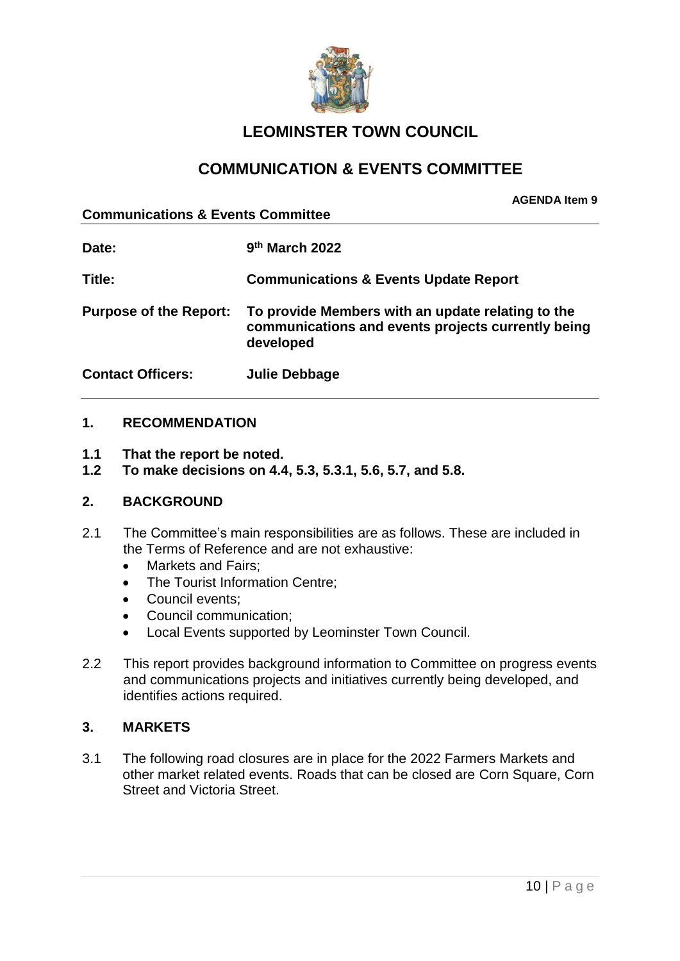

### **LEOMINSTER TOWN COUNCIL**

### **COMMUNICATION & EVENTS COMMITTEE**

**Communications & Events Committee**

**AGENDA Item 9**

| Date:                         | 9 <sup>th</sup> March 2022                                                                                           |
|-------------------------------|----------------------------------------------------------------------------------------------------------------------|
| Title:                        | <b>Communications &amp; Events Update Report</b>                                                                     |
| <b>Purpose of the Report:</b> | To provide Members with an update relating to the<br>communications and events projects currently being<br>developed |
| <b>Contact Officers:</b>      | <b>Julie Debbage</b>                                                                                                 |

### **1. RECOMMENDATION**

- **1.1 That the report be noted.**
- **1.2 To make decisions on 4.4, 5.3, 5.3.1, 5.6, 5.7, and 5.8.**

### **2. BACKGROUND**

- 2.1 The Committee's main responsibilities are as follows. These are included in the Terms of Reference and are not exhaustive:
	- Markets and Fairs:
	- The Tourist Information Centre:
	- Council events;
	- Council communication;
	- Local Events supported by Leominster Town Council.
- 2.2 This report provides background information to Committee on progress events and communications projects and initiatives currently being developed, and identifies actions required.

### **3. MARKETS**

3.1 The following road closures are in place for the 2022 Farmers Markets and other market related events. Roads that can be closed are Corn Square, Corn Street and Victoria Street.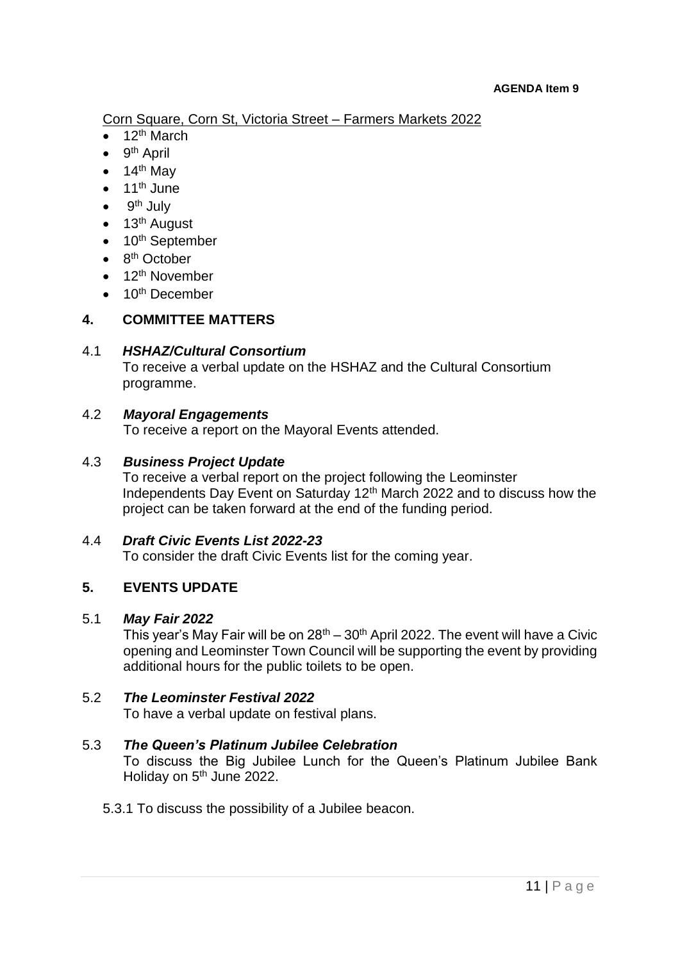Corn Square, Corn St, Victoria Street – Farmers Markets 2022

- 12th March
- 9<sup>th</sup> April
- $\bullet$  14<sup>th</sup> May
- $\bullet$  11<sup>th</sup> June
- 9<sup>th</sup> July
- $\bullet$  13<sup>th</sup> August
- $\bullet$  10<sup>th</sup> September
- $\bullet$  8<sup>th</sup> October
- $\bullet$  12<sup>th</sup> November
- $\bullet$  10<sup>th</sup> December

### **4. COMMITTEE MATTERS**

### 4.1 *HSHAZ/Cultural Consortium*

To receive a verbal update on the HSHAZ and the Cultural Consortium programme.

### 4.2 *Mayoral Engagements*

To receive a report on the Mayoral Events attended.

### 4.3 *Business Project Update*

To receive a verbal report on the project following the Leominster Independents Day Event on Saturday 12<sup>th</sup> March 2022 and to discuss how the project can be taken forward at the end of the funding period.

### 4.4 *Draft Civic Events List 2022-23*

To consider the draft Civic Events list for the coming year.

### **5. EVENTS UPDATE**

### 5.1 *May Fair 2022*

This year's May Fair will be on  $28<sup>th</sup> - 30<sup>th</sup>$  April 2022. The event will have a Civic opening and Leominster Town Council will be supporting the event by providing additional hours for the public toilets to be open.

### 5.2 *The Leominster Festival 2022*

To have a verbal update on festival plans.

### 5.3 *The Queen's Platinum Jubilee Celebration*

To discuss the Big Jubilee Lunch for the Queen's Platinum Jubilee Bank Holiday on 5<sup>th</sup> June 2022.

### 5.3.1 To discuss the possibility of a Jubilee beacon.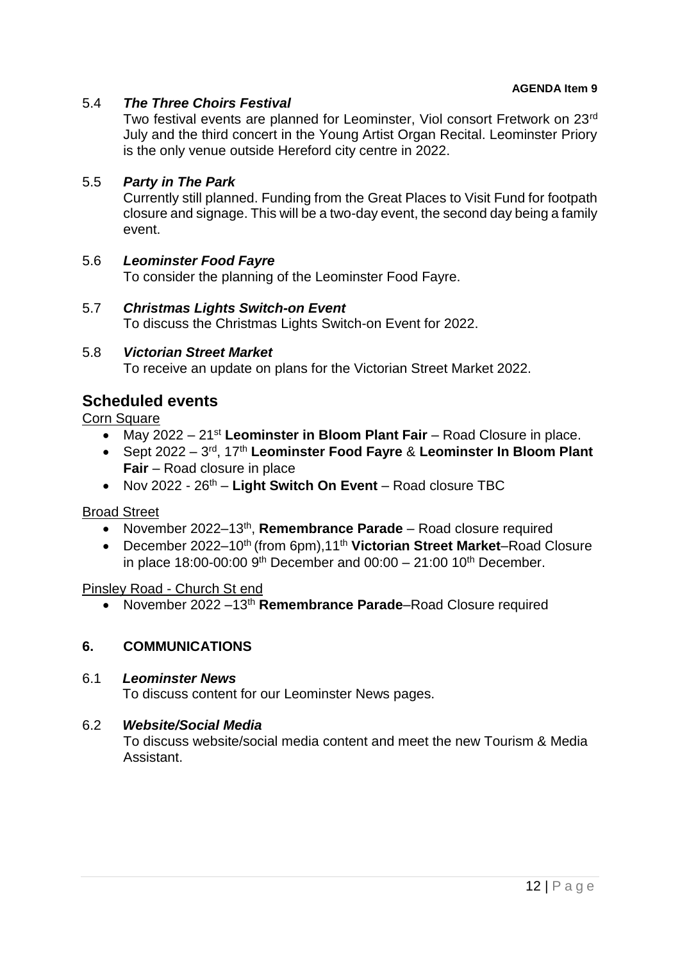### 5.4 *The Three Choirs Festival*

Two festival events are planned for Leominster, Viol consort Fretwork on 23rd July and the third concert in the Young Artist Organ Recital. Leominster Priory is the only venue outside Hereford city centre in 2022.

#### 5.5 *Party in The Park*

Currently still planned. Funding from the Great Places to Visit Fund for footpath closure and signage. This will be a two-day event, the second day being a family event.

#### 5.6 *Leominster Food Fayre*

To consider the planning of the Leominster Food Fayre.

#### 5.7 *Christmas Lights Switch-on Event*

To discuss the Christmas Lights Switch-on Event for 2022.

#### 5.8 *Victorian Street Market*

To receive an update on plans for the Victorian Street Market 2022.

### **Scheduled events**

**Corn Square** 

- May 2022 21<sup>st</sup> Leominster in Bloom Plant Fair Road Closure in place.
- Sept 2022 3<sup>rd</sup>, 17<sup>th</sup> Leominster Food Fayre & Leominster In Bloom Plant **Fair** – Road closure in place
- Nov 2022 26th **Light Switch On Event** Road closure TBC

Broad Street

- November 2022–13<sup>th</sup>, Remembrance Parade Road closure required
- December 2022–10<sup>th</sup> (from 6pm),11<sup>th</sup> Victorian Street Market–Road Closure in place 18:00-00:00  $9^{th}$  December and 00:00 – 21:00 10<sup>th</sup> December.

#### Pinsley Road - Church St end

November 2022 –13th **Remembrance Parade**–Road Closure required

### **6. COMMUNICATIONS**

#### 6.1 *Leominster News*

To discuss content for our Leominster News pages.

#### 6.2 *Website/Social Media*

To discuss website/social media content and meet the new Tourism & Media Assistant.